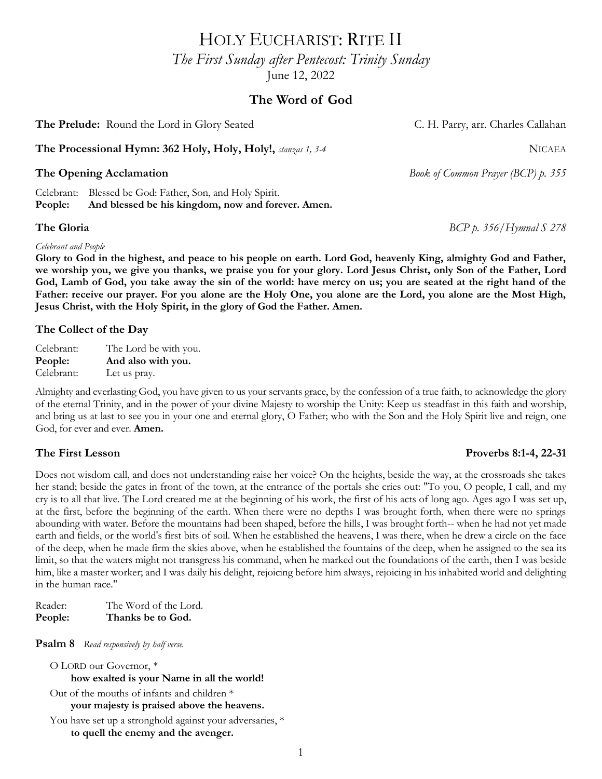HOLY EUCHARIST: RITE II

*The First Sunday after Pentecost: Trinity Sunday* June 12, 2022

# **The Word of God**

**The Prelude:** Round the Lord in Glory Seated **C. H. Parry, arr. Charles Callahan** 

**The Processional Hymn: 362 Holy, Holy, Holy!,** *stanzas 1, 3-4* NICAEA

Celebrant: Blessed be God: Father, Son, and Holy Spirit. **People: And blessed be his kingdom, now and forever. Amen.**

### *Celebrant and People*

**Glory to God in the highest, and peace to his people on earth. Lord God, heavenly King, almighty God and Father, we worship you, we give you thanks, we praise you for your glory. Lord Jesus Christ, only Son of the Father, Lord**  God, Lamb of God, you take away the sin of the world: have mercy on us; you are seated at the right hand of the **Father: receive our prayer. For you alone are the Holy One, you alone are the Lord, you alone are the Most High, Jesus Christ, with the Holy Spirit, in the glory of God the Father. Amen.**

## **The Collect of the Day**

Celebrant: The Lord be with you. **People: And also with you.** Celebrant: Let us pray.

Almighty and everlasting God, you have given to us your servants grace, by the confession of a true faith, to acknowledge the glory of the eternal Trinity, and in the power of your divine Majesty to worship the Unity: Keep us steadfast in this faith and worship, and bring us at last to see you in your one and eternal glory, O Father; who with the Son and the Holy Spirit live and reign, one God, for ever and ever. **Amen.**

## **The First Lesson Proverbs 8:1-4, 22-31**

Does not wisdom call, and does not understanding raise her voice? On the heights, beside the way, at the crossroads she takes her stand; beside the gates in front of the town, at the entrance of the portals she cries out: "To you, O people, I call, and my cry is to all that live. The Lord created me at the beginning of his work, the first of his acts of long ago. Ages ago I was set up, at the first, before the beginning of the earth. When there were no depths I was brought forth, when there were no springs abounding with water. Before the mountains had been shaped, before the hills, I was brought forth-- when he had not yet made earth and fields, or the world's first bits of soil. When he established the heavens, I was there, when he drew a circle on the face of the deep, when he made firm the skies above, when he established the fountains of the deep, when he assigned to the sea its limit, so that the waters might not transgress his command, when he marked out the foundations of the earth, then I was beside him, like a master worker; and I was daily his delight, rejoicing before him always, rejoicing in his inhabited world and delighting in the human race."

Reader: The Word of the Lord. **People: Thanks be to God.**

**Psalm 8** *Read responsively by half verse.*

O LORD our Governor, \* **how exalted is your Name in all the world!** Out of the mouths of infants and children \* **your majesty is praised above the heavens.** You have set up a stronghold against your adversaries, \* **to quell the enemy and the avenger.**

**The Opening Acclamation** *Book of Common Prayer (BCP) p. 355*

**The Gloria** *BCP p. 356/Hymnal S 278*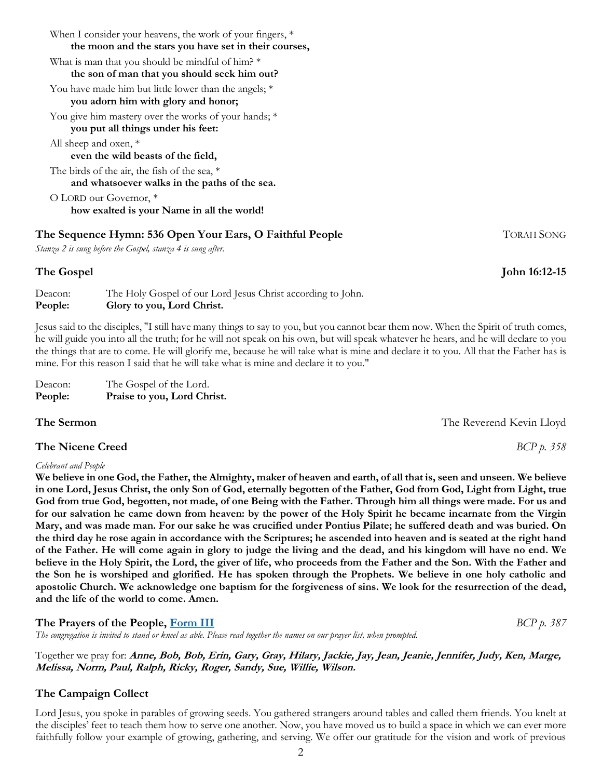| When I consider your heavens, the work of your fingers, $*$<br>the moon and the stars you have set in their courses, |
|----------------------------------------------------------------------------------------------------------------------|
| What is man that you should be mindful of him? $*$<br>the son of man that you should seek him out?                   |
| You have made him but little lower than the angels; $*$<br>you adorn him with glory and honor;                       |
| You give him mastery over the works of your hands; *<br>you put all things under his feet:                           |
| All sheep and oxen, *<br>even the wild beasts of the field,                                                          |
| The birds of the air, the fish of the sea, $*$<br>and whatsoever walks in the paths of the sea.                      |
| O LORD our Governor, *<br>how exalted is your Name in all the world!                                                 |

## **The Sequence Hymn: 536 Open Your Ears, O Faithful People** TORAH SONG

*Stanza 2 is sung before the Gospel, stanza 4 is sung after.*

### **The Gospel John 16:12-15**

Deacon: The Holy Gospel of our Lord Jesus Christ according to John. **People: Glory to you, Lord Christ.**

Jesus said to the disciples, "I still have many things to say to you, but you cannot bear them now. When the Spirit of truth comes, he will guide you into all the truth; for he will not speak on his own, but will speak whatever he hears, and he will declare to you the things that are to come. He will glorify me, because he will take what is mine and declare it to you. All that the Father has is mine. For this reason I said that he will take what is mine and declare it to you."

| Deacon: | The Gospel of the Lord.     |
|---------|-----------------------------|
| People: | Praise to you, Lord Christ. |

## **The Nicene Creed** *BCP p. 358*

### *Celebrant and People*

**We believe in one God, the Father, the Almighty, maker of heaven and earth, of all that is, seen and unseen. We believe in one Lord, Jesus Christ, the only Son of God, eternally begotten of the Father, God from God, Light from Light, true God from true God, begotten, not made, of one Being with the Father. Through him all things were made. For us and for our salvation he came down from heaven: by the power of the Holy Spirit he became incarnate from the Virgin Mary, and was made man. For our sake he was crucified under Pontius Pilate; he suffered death and was buried. On the third day he rose again in accordance with the Scriptures; he ascended into heaven and is seated at the right hand of the Father. He will come again in glory to judge the living and the dead, and his kingdom will have no end. We believe in the Holy Spirit, the Lord, the giver of life, who proceeds from the Father and the Son. With the Father and the Son he is worshiped and glorified. He has spoken through the Prophets. We believe in one holy catholic and apostolic Church. We acknowledge one baptism for the forgiveness of sins. We look for the resurrection of the dead, and the life of the world to come. Amen.**

## **The Prayers of the People, [Form III](https://www.bcponline.org/) BCP** *BCP b.* 387

*The congregation is invited to stand or kneel as able. Please read together the names on our prayer list, when prompted.*

Together we pray for: **Anne, Bob, Bob, Erin, Gary, Gray, Hilary, Jackie, Jay, Jean, Jeanie, Jennifer, Judy, Ken, Marge, Melissa, Norm, Paul, Ralph, Ricky, Roger, Sandy, Sue, Willie, Wilson.**

## **The Campaign Collect**

Lord Jesus, you spoke in parables of growing seeds. You gathered strangers around tables and called them friends. You knelt at the disciples' feet to teach them how to serve one another. Now, you have moved us to build a space in which we can ever more faithfully follow your example of growing, gathering, and serving. We offer our gratitude for the vision and work of previous

**The Sermon** The Neverend Kevin Lloyd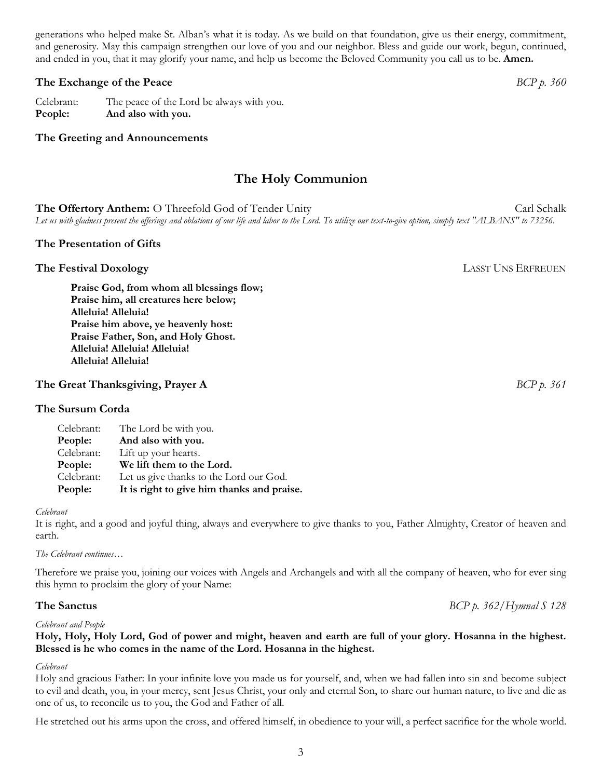generations who helped make St. Alban's what it is today. As we build on that foundation, give us their energy, commitment, and generosity. May this campaign strengthen our love of you and our neighbor. Bless and guide our work, begun, continued, and ended in you, that it may glorify your name, and help us become the Beloved Community you call us to be. **Amen.**

## **The Exchange of the Peace** *BCP p. 360*

Celebrant: The peace of the Lord be always with you. **People: And also with you.** 

## **The Greeting and Announcements**

# **The Holy Communion**

**The Offertory Anthem:** O Threefold God of Tender Unity Carl Schalk Carl Schalk *Let us with gladness present the offerings and oblations of our life and labor to the Lord. To utilize our text-to-give option, simply text "ALBANS" to 73256.*

### **The Presentation of Gifts**

**The Festival Doxology LASST UNS ERFREUEN** 

**Praise God, from whom all blessings flow; Praise him, all creatures here below; Alleluia! Alleluia! Praise him above, ye heavenly host: Praise Father, Son, and Holy Ghost. Alleluia! Alleluia! Alleluia! Alleluia! Alleluia!**

## **The Great Thanksgiving, Prayer A** *BCP p. 361*

## **The Sursum Corda**

| Celebrant: | Let us give thanks to the Lord our God. |
|------------|-----------------------------------------|
| People:    | We lift them to the Lord.               |
| Celebrant: | Lift up your hearts.                    |
| People:    | And also with you.                      |
| Celebrant: | The Lord be with you.                   |

#### *Celebrant*

It is right, and a good and joyful thing, always and everywhere to give thanks to you, Father Almighty, Creator of heaven and earth.

### *The Celebrant continues…*

Therefore we praise you, joining our voices with Angels and Archangels and with all the company of heaven, who for ever sing this hymn to proclaim the glory of your Name:

### *Celebrant and People*

### **Holy, Holy, Holy Lord, God of power and might, heaven and earth are full of your glory. Hosanna in the highest. Blessed is he who comes in the name of the Lord. Hosanna in the highest.**

### *Celebrant*

Holy and gracious Father: In your infinite love you made us for yourself, and, when we had fallen into sin and become subject to evil and death, you, in your mercy, sent Jesus Christ, your only and eternal Son, to share our human nature, to live and die as one of us, to reconcile us to you, the God and Father of all.

He stretched out his arms upon the cross, and offered himself, in obedience to your will, a perfect sacrifice for the whole world.

**The Sanctus** *BCP p. 362/Hymnal S 128*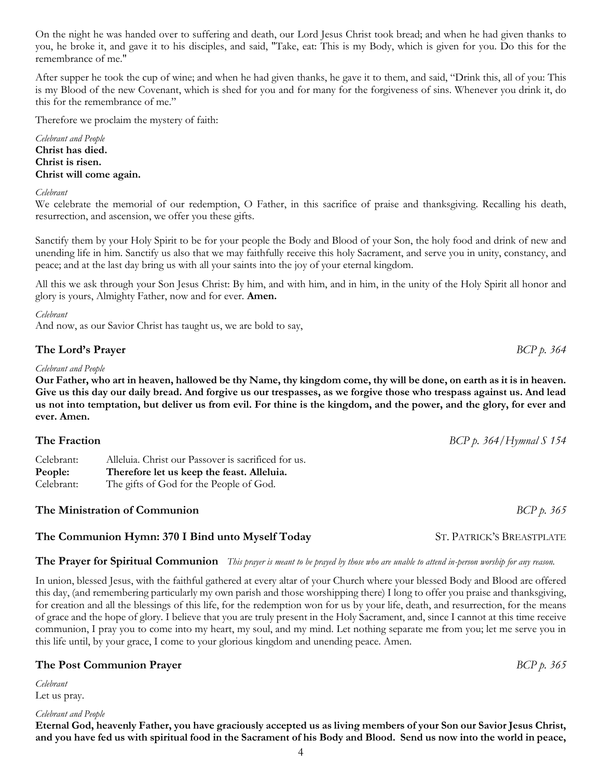4 Let us pray. *Celebrant and People* **Eternal God, heavenly Father, you have graciously accepted us as living members of your Son our Savior Jesus Christ, and you have fed us with spiritual food in the Sacrament of his Body and Blood. Send us now into the world in peace,** 

### On the night he was handed over to suffering and death, our Lord Jesus Christ took bread; and when he had given thanks to you, he broke it, and gave it to his disciples, and said, "Take, eat: This is my Body, which is given for you. Do this for the remembrance of me."

After supper he took the cup of wine; and when he had given thanks, he gave it to them, and said, "Drink this, all of you: This is my Blood of the new Covenant, which is shed for you and for many for the forgiveness of sins. Whenever you drink it, do this for the remembrance of me."

Therefore we proclaim the mystery of faith:

*Celebrant and People* **Christ has died. Christ is risen. Christ will come again.**

## *Celebrant*

We celebrate the memorial of our redemption, O Father, in this sacrifice of praise and thanksgiving. Recalling his death, resurrection, and ascension, we offer you these gifts.

Sanctify them by your Holy Spirit to be for your people the Body and Blood of your Son, the holy food and drink of new and unending life in him. Sanctify us also that we may faithfully receive this holy Sacrament, and serve you in unity, constancy, and peace; and at the last day bring us with all your saints into the joy of your eternal kingdom.

All this we ask through your Son Jesus Christ: By him, and with him, and in him, in the unity of the Holy Spirit all honor and glory is yours, Almighty Father, now and for ever. **Amen.**

### *Celebrant*

And now, as our Savior Christ has taught us, we are bold to say,

## **The Lord's Prayer** *BCP p. 364*

### *Celebrant and People*

**Our Father, who art in heaven, hallowed be thy Name, thy kingdom come, thy will be done, on earth as it is in heaven. Give us this day our daily bread. And forgive us our trespasses, as we forgive those who trespass against us. And lead us not into temptation, but deliver us from evil. For thine is the kingdom, and the power, and the glory, for ever and ever. Amen.** 

| The Fraction                        |                                                                                                                                              | $BCP p. 364/H$ ymnal S 154 |
|-------------------------------------|----------------------------------------------------------------------------------------------------------------------------------------------|----------------------------|
| Celebrant:<br>People:<br>Celebrant: | Alleluia. Christ our Passover is sacrificed for us.<br>Therefore let us keep the feast. Alleluia.<br>The gifts of God for the People of God. |                            |
|                                     |                                                                                                                                              |                            |

# **The Ministration of Communion** *BCP p. 365*

## **The Communion Hymn: 370 I Bind unto Myself Today** ST. PATRICK'S BREASTPLATE

## **The Prayer for Spiritual Communion** *This prayer is meant to be prayed by those who are unable to attend in-person worship for any reason.*

In union, blessed Jesus, with the faithful gathered at every altar of your Church where your blessed Body and Blood are offered this day, (and remembering particularly my own parish and those worshipping there) I long to offer you praise and thanksgiving, for creation and all the blessings of this life, for the redemption won for us by your life, death, and resurrection, for the means of grace and the hope of glory. I believe that you are truly present in the Holy Sacrament, and, since I cannot at this time receive communion, I pray you to come into my heart, my soul, and my mind. Let nothing separate me from you; let me serve you in this life until, by your grace, I come to your glorious kingdom and unending peace. Amen.

## **The Post Communion Prayer** *BCP p. 365*

*Celebrant*